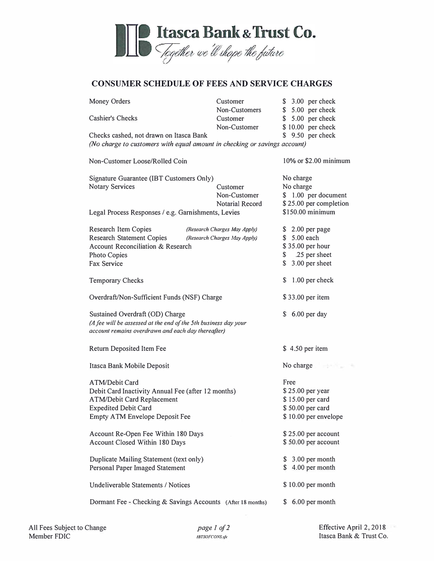

## **CONSUMER SCHEDULE OF FEES AND SERVICE CHARGES**

| Customer                                                                  | \$ 3.00 per check              |
|---------------------------------------------------------------------------|--------------------------------|
|                                                                           | \$ 5.00 per check              |
| Customer                                                                  | \$ 5.00 per check              |
| Non-Customer                                                              | \$10.00 per check              |
| Checks cashed, not drawn on Itasca Bank                                   | $$9.50$ per check              |
| (No charge to customers with equal amount in checking or savings account) |                                |
| Non-Customer Loose/Rolled Coin                                            | 10% or \$2.00 minimum          |
| Signature Guarantee (IBT Customers Only)                                  |                                |
| Customer                                                                  | No charge                      |
| Non-Customer                                                              | \$ 1.00 per document           |
| Notarial Record                                                           | \$25.00 per completion         |
| Legal Process Responses / e.g. Garnishments, Levies                       | \$150.00 minimum               |
| (Research Charges May Apply)                                              | $$2.00$ per page               |
| (Research Charges May Apply)                                              | \$ 5.00 each                   |
| <b>Account Reconciliation &amp; Research</b>                              | \$35.00 per hour               |
|                                                                           | \$ .25 per sheet               |
|                                                                           | $$3.00$ per sheet              |
|                                                                           | $$1.00$ per check              |
| Overdraft/Non-Sufficient Funds (NSF) Charge                               |                                |
| Sustained Overdraft (OD) Charge                                           |                                |
| (A fee will be assessed at the end of the 5th business day your           |                                |
| account remains overdrawn and each day thereafter)                        |                                |
|                                                                           | \$4.50 per item                |
|                                                                           | No charge<br><b>STATISTICS</b> |
|                                                                           | Free                           |
| Debit Card Inactivity Annual Fee (after 12 months)                        | \$25.00 per year               |
| <b>ATM/Debit Card Replacement</b>                                         |                                |
|                                                                           | \$50.00 per card               |
| Empty ATM Envelope Deposit Fee                                            | \$10.00 per envelope           |
| Account Re-Open Fee Within 180 Days                                       | \$25.00 per account            |
| Account Closed Within 180 Days                                            | \$50.00 per account            |
| Duplicate Mailing Statement (text only)                                   | \$ 3.00 per month              |
| Personal Paper Imaged Statement                                           | \$4.00 per month               |
| <b>Undeliverable Statements / Notices</b>                                 | \$10.00 per month              |
| Dormant Fee - Checking & Savings Accounts (After 18 months)               | 6.00 per month<br>S.           |
|                                                                           | Non-Customers                  |